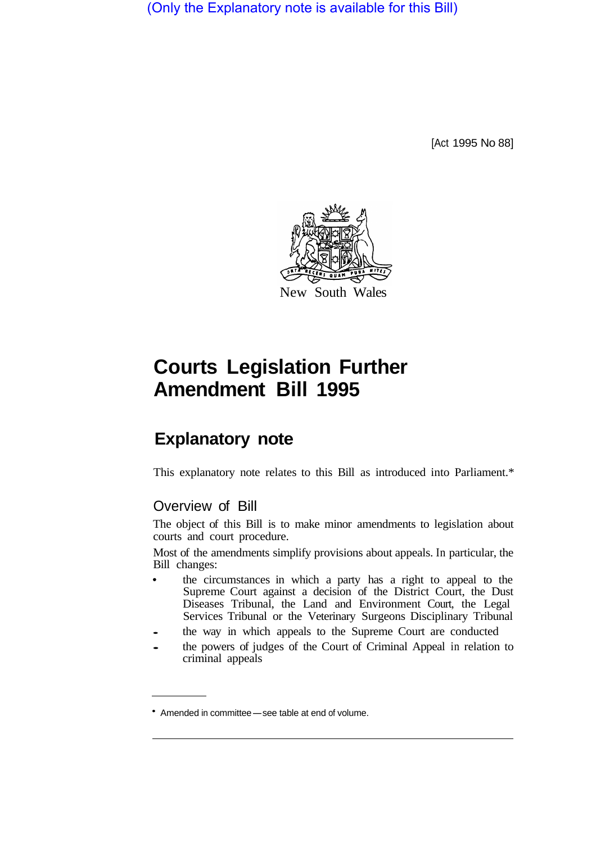(Only the Explanatory note is available for this Bill)

[Act 1995 No 88]



## **Courts Legislation Further Amendment Bill 1995**

## **Explanatory note**

This explanatory note relates to this Bill as introduced into Parliament.\*

## Overview of Bill

The object of this Bill is to make minor amendments to legislation about courts and court procedure.

Most of the amendments simplify provisions about appeals. In particular, the Bill changes:

- the circumstances in which a party has a right to appeal to the  $\bullet$ Supreme Court against a decision of the District Court, the Dust Diseases Tribunal, the Land and Environment Court, the Legal Services Tribunal or the Veterinary Surgeons Disciplinary Tribunal
- the way in which appeals to the Supreme Court are conducted
- the powers of judges of the Court of Criminal Appeal in relation to criminal appeals

<sup>•</sup> Amended in committee-see table at end of volume.